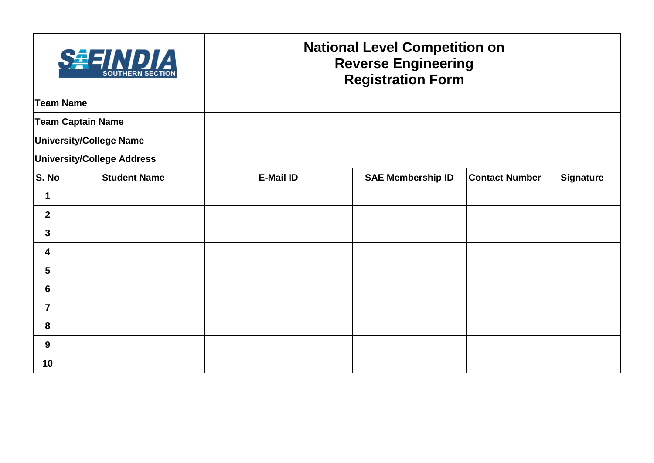

## **National Level Competition on Reverse Engineering Registration Form**

| Team Name       |                            |                  |                          |                       |                  |
|-----------------|----------------------------|------------------|--------------------------|-----------------------|------------------|
|                 | <b>Team Captain Name</b>   |                  |                          |                       |                  |
|                 | University/College Name    |                  |                          |                       |                  |
|                 | University/College Address |                  |                          |                       |                  |
| S. No           | <b>Student Name</b>        | <b>E-Mail ID</b> | <b>SAE Membership ID</b> | <b>Contact Number</b> | <b>Signature</b> |
| $\mathbf 1$     |                            |                  |                          |                       |                  |
| $\overline{2}$  |                            |                  |                          |                       |                  |
| $\mathbf{3}$    |                            |                  |                          |                       |                  |
| 4               |                            |                  |                          |                       |                  |
| $5\phantom{.0}$ |                            |                  |                          |                       |                  |
| $6\phantom{1}6$ |                            |                  |                          |                       |                  |
| $\overline{7}$  |                            |                  |                          |                       |                  |
| 8               |                            |                  |                          |                       |                  |
| 9               |                            |                  |                          |                       |                  |
| 10              |                            |                  |                          |                       |                  |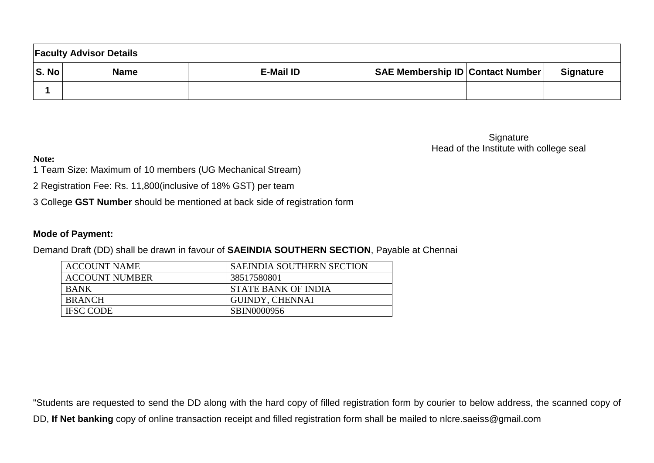| <b>Faculty Advisor Details</b> |             |                  |                                         |  |                  |  |  |
|--------------------------------|-------------|------------------|-----------------------------------------|--|------------------|--|--|
| $\vert$ S. No                  | <b>Name</b> | <b>E-Mail ID</b> | <b>SAE Membership ID Contact Number</b> |  | <b>Signature</b> |  |  |
|                                |             |                  |                                         |  |                  |  |  |

**Signature** Head of the Institute with college seal

**Note:** 

1 Team Size: Maximum of 10 members (UG Mechanical Stream)

2 Registration Fee: Rs. 11,800(inclusive of 18% GST) per team

3 College **GST Number** should be mentioned at back side of registration form

## **Mode of Payment:**

Demand Draft (DD) shall be drawn in favour of **SAEINDIA SOUTHERN SECTION**, Payable at Chennai

| <b>ACCOUNT NAME</b>   | SAEINDIA SOUTHERN SECTION  |
|-----------------------|----------------------------|
| <b>ACCOUNT NUMBER</b> | 38517580801                |
| <b>BANK</b>           | <b>STATE BANK OF INDIA</b> |
| <b>BRANCH</b>         | <b>GUINDY, CHENNAI</b>     |
| <b>IFSC CODE</b>      | SBIN0000956                |

"Students are requested to send the DD along with the hard copy of filled registration form by courier to below address, the scanned copy of DD, **If Net banking** copy of online transaction receipt and filled registration form shall be mailed to nlcre.saeiss@gmail.com